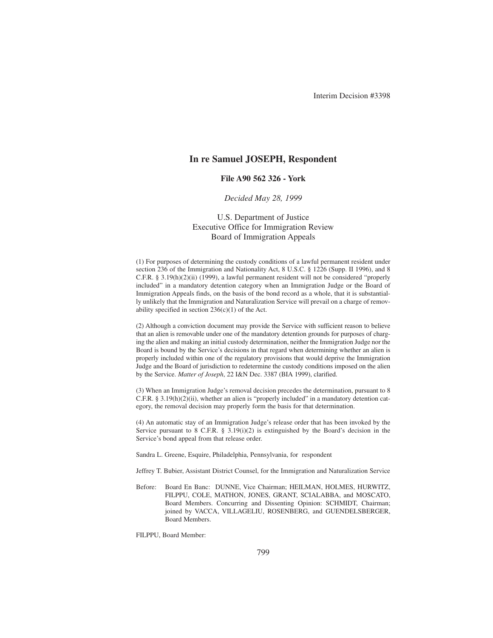# **In re Samuel JOSEPH, Respondent**

## **File A90 562 326 - York**

## *Decided May 28, 1999*

# U.S. Department of Justice Executive Office for Immigration Review Board of Immigration Appeals

(1) For purposes of determining the custody conditions of a lawful permanent resident under section 236 of the Immigration and Nationality Act, 8 U.S.C. § 1226 (Supp. II 1996), and 8 C.F.R. § 3.19(h)(2)(ii) (1999), a lawful permanent resident will not be considered "properly included" in a mandatory detention category when an Immigration Judge or the Board of Immigration Appeals finds, on the basis of the bond record as a whole, that it is substantially unlikely that the Immigration and Naturalization Service will prevail on a charge of removability specified in section 236(c)(1) of the Act.

(2) Although a conviction document may provide the Service with sufficient reason to believe that an alien is removable under one of the mandatory detention grounds for purposes of charging the alien and making an initial custody determination, neither the Immigration Judge nor the Board is bound by the Service's decisions in that regard when determining whether an alien is properly included within one of the regulatory provisions that would deprive the Immigration Judge and the Board of jurisdiction to redetermine the custody conditions imposed on the alien by the Service. *Matter of Joseph*, 22 I&N Dec. 3387 (BIA 1999), clarified.

(3) When an Immigration Judge's removal decision precedes the determination, pursuant to 8 C.F.R. § 3.19(h)(2)(ii), whether an alien is "properly included" in a mandatory detention category, the removal decision may properly form the basis for that determination.

(4) An automatic stay of an Immigration Judge's release order that has been invoked by the Service pursuant to 8 C.F.R.  $\S$  3.19(i)(2) is extinguished by the Board's decision in the Service's bond appeal from that release order.

Sandra L. Greene, Esquire, Philadelphia, Pennsylvania, for respondent

Jeffrey T. Bubier, Assistant District Counsel, for the Immigration and Naturalization Service

Before: Board En Banc: DUNNE, Vice Chairman; HEILMAN, HOLMES, HURWITZ, FILPPU, COLE, MATHON, JONES, GRANT, SCIALABBA, and MOSCATO, Board Members. Concurring and Dissenting Opinion: SCHMIDT, Chairman; joined by VACCA, VILLAGELIU, ROSENBERG, and GUENDELSBERGER, Board Members.

FILPPU, Board Member: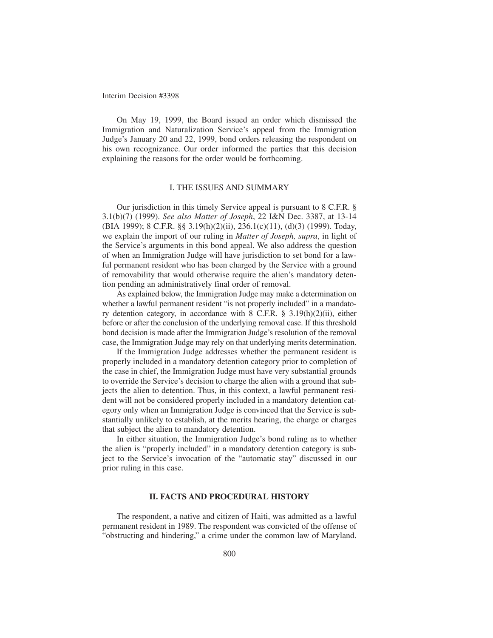On May 19, 1999, the Board issued an order which dismissed the Immigration and Naturalization Service's appeal from the Immigration Judge's January 20 and 22, 1999, bond orders releasing the respondent on his own recognizance. Our order informed the parties that this decision explaining the reasons for the order would be forthcoming.

## I. THE ISSUES AND SUMMARY

Our jurisdiction in this timely Service appeal is pursuant to 8 C.F.R. § 3.1(b)(7) (1999). *See also Matter of Joseph*, 22 I&N Dec. 3387, at 13-14 (BIA 1999); 8 C.F.R. §§ 3.19(h)(2)(ii), 236.1(c)(11), (d)(3) (1999). Today, we explain the import of our ruling in *Matter of Joseph, supra*, in light of the Service's arguments in this bond appeal. We also address the question of when an Immigration Judge will have jurisdiction to set bond for a lawful permanent resident who has been charged by the Service with a ground of removability that would otherwise require the alien's mandatory detention pending an administratively final order of removal.

As explained below, the Immigration Judge may make a determination on whether a lawful permanent resident "is not properly included" in a mandatory detention category, in accordance with 8 C.F.R. § 3.19(h)(2)(ii), either before or after the conclusion of the underlying removal case. If this threshold bond decision is made after the Immigration Judge's resolution of the removal case, the Immigration Judge may rely on that underlying merits determination.

If the Immigration Judge addresses whether the permanent resident is properly included in a mandatory detention category prior to completion of the case in chief, the Immigration Judge must have very substantial grounds to override the Service's decision to charge the alien with a ground that subjects the alien to detention. Thus, in this context, a lawful permanent resident will not be considered properly included in a mandatory detention category only when an Immigration Judge is convinced that the Service is substantially unlikely to establish, at the merits hearing, the charge or charges that subject the alien to mandatory detention.

In either situation, the Immigration Judge's bond ruling as to whether the alien is "properly included" in a mandatory detention category is subject to the Service's invocation of the "automatic stay" discussed in our prior ruling in this case.

### **II. FACTS AND PROCEDURAL HISTORY**

The respondent, a native and citizen of Haiti, was admitted as a lawful permanent resident in 1989. The respondent was convicted of the offense of "obstructing and hindering," a crime under the common law of Maryland.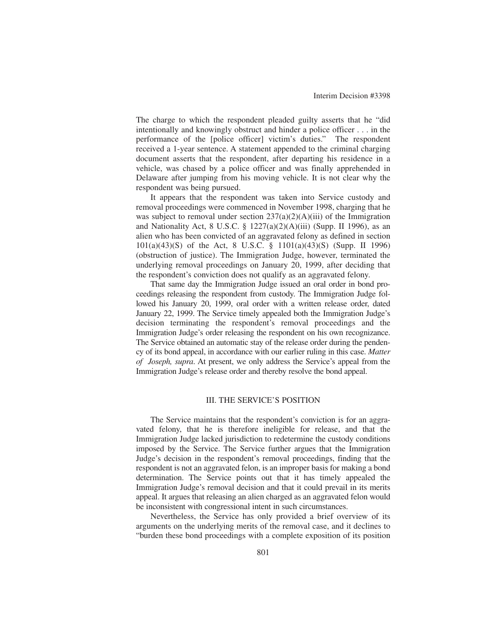The charge to which the respondent pleaded guilty asserts that he "did intentionally and knowingly obstruct and hinder a police officer . . . in the performance of the [police officer] victim's duties." The respondent received a 1-year sentence. A statement appended to the criminal charging document asserts that the respondent, after departing his residence in a vehicle, was chased by a police officer and was finally apprehended in Delaware after jumping from his moving vehicle. It is not clear why the respondent was being pursued.

It appears that the respondent was taken into Service custody and removal proceedings were commenced in November 1998, charging that he was subject to removal under section  $237(a)(2)(A)(iii)$  of the Immigration and Nationality Act, 8 U.S.C. § 1227(a)(2)(A)(iii) (Supp. II 1996), as an alien who has been convicted of an aggravated felony as defined in section 101(a)(43)(S) of the Act, 8 U.S.C. § 1101(a)(43)(S) (Supp. II 1996) (obstruction of justice). The Immigration Judge, however, terminated the underlying removal proceedings on January 20, 1999, after deciding that the respondent's conviction does not qualify as an aggravated felony.

That same day the Immigration Judge issued an oral order in bond proceedings releasing the respondent from custody. The Immigration Judge followed his January 20, 1999, oral order with a written release order, dated January 22, 1999. The Service timely appealed both the Immigration Judge's decision terminating the respondent's removal proceedings and the Immigration Judge's order releasing the respondent on his own recognizance. The Service obtained an automatic stay of the release order during the pendency of its bond appeal, in accordance with our earlier ruling in this case. *Matter of Joseph, supra*. At present, we only address the Service's appeal from the Immigration Judge's release order and thereby resolve the bond appeal.

## III. THE SERVICE'S POSITION

The Service maintains that the respondent's conviction is for an aggravated felony, that he is therefore ineligible for release, and that the Immigration Judge lacked jurisdiction to redetermine the custody conditions imposed by the Service. The Service further argues that the Immigration Judge's decision in the respondent's removal proceedings, finding that the respondent is not an aggravated felon, is an improper basis for making a bond determination. The Service points out that it has timely appealed the Immigration Judge's removal decision and that it could prevail in its merits appeal. It argues that releasing an alien charged as an aggravated felon would be inconsistent with congressional intent in such circumstances.

Nevertheless, the Service has only provided a brief overview of its arguments on the underlying merits of the removal case, and it declines to "burden these bond proceedings with a complete exposition of its position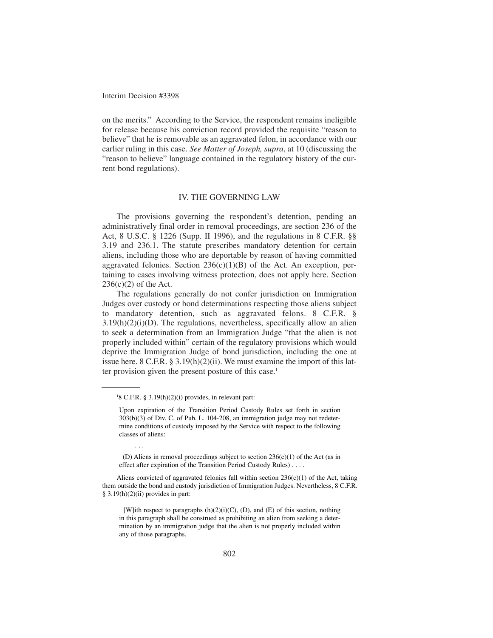on the merits." According to the Service, the respondent remains ineligible for release because his conviction record provided the requisite "reason to believe" that he is removable as an aggravated felon, in accordance with our earlier ruling in this case. *See Matter of Joseph, supra*, at 10 (discussing the "reason to believe" language contained in the regulatory history of the current bond regulations).

### IV. THE GOVERNING LAW

The provisions governing the respondent's detention, pending an administratively final order in removal proceedings, are section 236 of the Act, 8 U.S.C. § 1226 (Supp. II 1996), and the regulations in 8 C.F.R. §§ 3.19 and 236.1. The statute prescribes mandatory detention for certain aliens, including those who are deportable by reason of having committed aggravated felonies. Section  $236(c)(1)(B)$  of the Act. An exception, pertaining to cases involving witness protection, does not apply here. Section  $236(c)(2)$  of the Act.

The regulations generally do not confer jurisdiction on Immigration Judges over custody or bond determinations respecting those aliens subject to mandatory detention, such as aggravated felons. 8 C.F.R. §  $3.19(h)(2)(i)(D)$ . The regulations, nevertheless, specifically allow an alien to seek a determination from an Immigration Judge "that the alien is not properly included within" certain of the regulatory provisions which would deprive the Immigration Judge of bond jurisdiction, including the one at issue here. 8 C.F.R. § 3.19(h)(2)(ii). We must examine the import of this latter provision given the present posture of this case.<sup>1</sup>

. . .

Aliens convicted of aggravated felonies fall within section  $236(c)(1)$  of the Act, taking them outside the bond and custody jurisdiction of Immigration Judges. Nevertheless, 8 C.F.R.  $§$  3.19(h)(2)(ii) provides in part:

[W]ith respect to paragraphs  $(h)(2)(i)(C)$ ,  $(D)$ , and  $(E)$  of this section, nothing in this paragraph shall be construed as prohibiting an alien from seeking a determination by an immigration judge that the alien is not properly included within any of those paragraphs.

 $18$  C.F.R. § 3.19(h)(2)(i) provides, in relevant part:

Upon expiration of the Transition Period Custody Rules set forth in section 303(b)(3) of Div. C. of Pub. L. 104-208, an immigration judge may not redetermine conditions of custody imposed by the Service with respect to the following classes of aliens:

<sup>(</sup>D) Aliens in removal proceedings subject to section 236(c)(1) of the Act (as in effect after expiration of the Transition Period Custody Rules) . . . .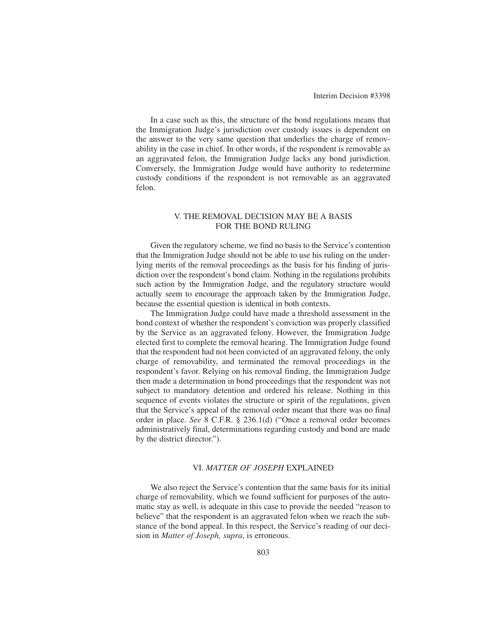In a case such as this, the structure of the bond regulations means that the Immigration Judge's jurisdiction over custody issues is dependent on the answer to the very same question that underlies the charge of removability in the case in chief. In other words, if the respondent is removable as an aggravated felon, the Immigration Judge lacks any bond jurisdiction. Conversely, the Immigration Judge would have authority to redetermine custody conditions if the respondent is not removable as an aggravated felon.

## V. THE REMOVAL DECISION MAY BE A BASIS FOR THE BOND RULING

Given the regulatory scheme, we find no basis to the Service's contention that the Immigration Judge should not be able to use his ruling on the underlying merits of the removal proceedings as the basis for his finding of jurisdiction over the respondent's bond claim. Nothing in the regulations prohibits such action by the Immigration Judge, and the regulatory structure would actually seem to encourage the approach taken by the Immigration Judge, because the essential question is identical in both contexts.

The Immigration Judge could have made a threshold assessment in the bond context of whether the respondent's conviction was properly classified by the Service as an aggravated felony. However, the Immigration Judge elected first to complete the removal hearing. The Immigration Judge found that the respondent had not been convicted of an aggravated felony, the only charge of removability, and terminated the removal proceedings in the respondent's favor. Relying on his removal finding, the Immigration Judge then made a determination in bond proceedings that the respondent was not subject to mandatory detention and ordered his release. Nothing in this sequence of events violates the structure or spirit of the regulations, given that the Service's appeal of the removal order meant that there was no final order in place. *See* 8 C.F.R. § 236.1(d) ("Once a removal order becomes administratively final, determinations regarding custody and bond are made by the district director.").

## VI. *MATTER OF JOSEPH* EXPLAINED

We also reject the Service's contention that the same basis for its initial charge of removability, which we found sufficient for purposes of the automatic stay as well, is adequate in this case to provide the needed "reason to believe" that the respondent is an aggravated felon when we reach the substance of the bond appeal. In this respect, the Service's reading of our decision in *Matter of Joseph, supra*, is erroneous.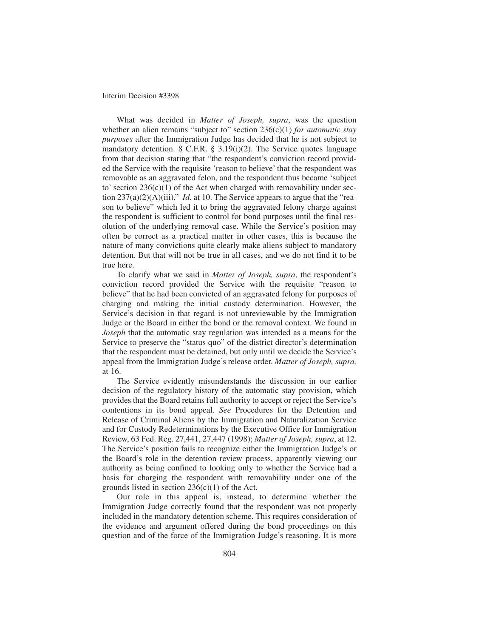What was decided in *Matter of Joseph, supra*, was the question whether an alien remains "subject to" section 236(c)(1) *for automatic stay purposes* after the Immigration Judge has decided that he is not subject to mandatory detention. 8 C.F.R. § 3.19(i)(2). The Service quotes language from that decision stating that "the respondent's conviction record provided the Service with the requisite 'reason to believe' that the respondent was removable as an aggravated felon, and the respondent thus became 'subject to' section  $236(c)(1)$  of the Act when charged with removability under section 237(a)(2)(A)(iii)." *Id.* at 10. The Service appears to argue that the "reason to believe" which led it to bring the aggravated felony charge against the respondent is sufficient to control for bond purposes until the final resolution of the underlying removal case. While the Service's position may often be correct as a practical matter in other cases, this is because the nature of many convictions quite clearly make aliens subject to mandatory detention. But that will not be true in all cases, and we do not find it to be true here.

To clarify what we said in *Matter of Joseph, supra*, the respondent's conviction record provided the Service with the requisite "reason to believe" that he had been convicted of an aggravated felony for purposes of charging and making the initial custody determination. However, the Service's decision in that regard is not unreviewable by the Immigration Judge or the Board in either the bond or the removal context. We found in *Joseph* that the automatic stay regulation was intended as a means for the Service to preserve the "status quo" of the district director's determination that the respondent must be detained, but only until we decide the Service's appeal from the Immigration Judge's release order. *Matter of Joseph, supra,* at 16.

The Service evidently misunderstands the discussion in our earlier decision of the regulatory history of the automatic stay provision, which provides that the Board retains full authority to accept or reject the Service's contentions in its bond appeal. *See* Procedures for the Detention and Release of Criminal Aliens by the Immigration and Naturalization Service and for Custody Redeterminations by the Executive Office for Immigration Review, 63 Fed. Reg. 27,441, 27,447 (1998); *Matter of Joseph, supra*, at 12. The Service's position fails to recognize either the Immigration Judge's or the Board's role in the detention review process, apparently viewing our authority as being confined to looking only to whether the Service had a basis for charging the respondent with removability under one of the grounds listed in section  $236(c)(1)$  of the Act.

Our role in this appeal is, instead, to determine whether the Immigration Judge correctly found that the respondent was not properly included in the mandatory detention scheme. This requires consideration of the evidence and argument offered during the bond proceedings on this question and of the force of the Immigration Judge's reasoning. It is more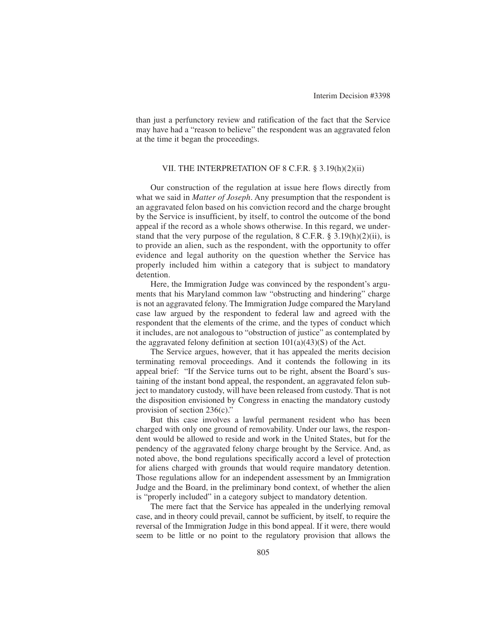than just a perfunctory review and ratification of the fact that the Service may have had a "reason to believe" the respondent was an aggravated felon at the time it began the proceedings.

## VII. THE INTERPRETATION OF 8 C.F.R. § 3.19(h)(2)(ii)

Our construction of the regulation at issue here flows directly from what we said in *Matter of Joseph*. Any presumption that the respondent is an aggravated felon based on his conviction record and the charge brought by the Service is insufficient, by itself, to control the outcome of the bond appeal if the record as a whole shows otherwise. In this regard, we understand that the very purpose of the regulation,  $8 \text{ C.F.R.}$   $\frac{8}{3}$   $\frac{3.19(h)(2)(ii)}{i}$ , is to provide an alien, such as the respondent, with the opportunity to offer evidence and legal authority on the question whether the Service has properly included him within a category that is subject to mandatory detention.

Here, the Immigration Judge was convinced by the respondent's arguments that his Maryland common law "obstructing and hindering" charge is not an aggravated felony. The Immigration Judge compared the Maryland case law argued by the respondent to federal law and agreed with the respondent that the elements of the crime, and the types of conduct which it includes, are not analogous to "obstruction of justice" as contemplated by the aggravated felony definition at section  $101(a)(43)(S)$  of the Act.

The Service argues, however, that it has appealed the merits decision terminating removal proceedings. And it contends the following in its appeal brief: "If the Service turns out to be right, absent the Board's sustaining of the instant bond appeal, the respondent, an aggravated felon subject to mandatory custody, will have been released from custody. That is not the disposition envisioned by Congress in enacting the mandatory custody provision of section 236(c)."

But this case involves a lawful permanent resident who has been charged with only one ground of removability. Under our laws, the respondent would be allowed to reside and work in the United States, but for the pendency of the aggravated felony charge brought by the Service. And, as noted above, the bond regulations specifically accord a level of protection for aliens charged with grounds that would require mandatory detention. Those regulations allow for an independent assessment by an Immigration Judge and the Board, in the preliminary bond context, of whether the alien is "properly included" in a category subject to mandatory detention.

The mere fact that the Service has appealed in the underlying removal case, and in theory could prevail, cannot be sufficient, by itself, to require the reversal of the Immigration Judge in this bond appeal. If it were, there would seem to be little or no point to the regulatory provision that allows the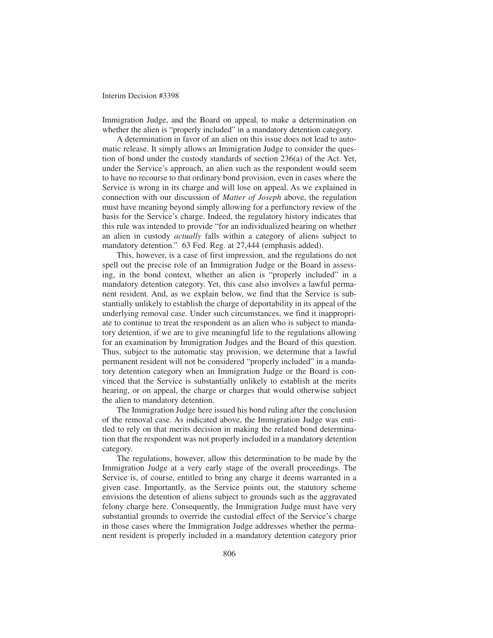Immigration Judge, and the Board on appeal, to make a determination on whether the alien is "properly included" in a mandatory detention category.

A determination in favor of an alien on this issue does not lead to automatic release. It simply allows an Immigration Judge to consider the question of bond under the custody standards of section 236(a) of the Act. Yet, under the Service's approach, an alien such as the respondent would seem to have no recourse to that ordinary bond provision, even in cases where the Service is wrong in its charge and will lose on appeal. As we explained in connection with our discussion of *Matter of Joseph* above, the regulation must have meaning beyond simply allowing for a perfunctory review of the basis for the Service's charge. Indeed, the regulatory history indicates that this rule was intended to provide "for an individualized hearing on whether an alien in custody *actually* falls within a category of aliens subject to mandatory detention." 63 Fed. Reg. at 27,444 (emphasis added).

This, however, is a case of first impression, and the regulations do not spell out the precise role of an Immigration Judge or the Board in assessing, in the bond context, whether an alien is "properly included" in a mandatory detention category. Yet, this case also involves a lawful permanent resident. And, as we explain below, we find that the Service is substantially unlikely to establish the charge of deportability in its appeal of the underlying removal case. Under such circumstances, we find it inappropriate to continue to treat the respondent as an alien who is subject to mandatory detention, if we are to give meaningful life to the regulations allowing for an examination by Immigration Judges and the Board of this question. Thus, subject to the automatic stay provision, we determine that a lawful permanent resident will not be considered "properly included" in a mandatory detention category when an Immigration Judge or the Board is convinced that the Service is substantially unlikely to establish at the merits hearing, or on appeal, the charge or charges that would otherwise subject the alien to mandatory detention.

The Immigration Judge here issued his bond ruling after the conclusion of the removal case. As indicated above, the Immigration Judge was entitled to rely on that merits decision in making the related bond determination that the respondent was not properly included in a mandatory detention category.

The regulations, however, allow this determination to be made by the Immigration Judge at a very early stage of the overall proceedings. The Service is, of course, entitled to bring any charge it deems warranted in a given case. Importantly, as the Service points out, the statutory scheme envisions the detention of aliens subject to grounds such as the aggravated felony charge here. Consequently, the Immigration Judge must have very substantial grounds to override the custodial effect of the Service's charge in those cases where the Immigration Judge addresses whether the permanent resident is properly included in a mandatory detention category prior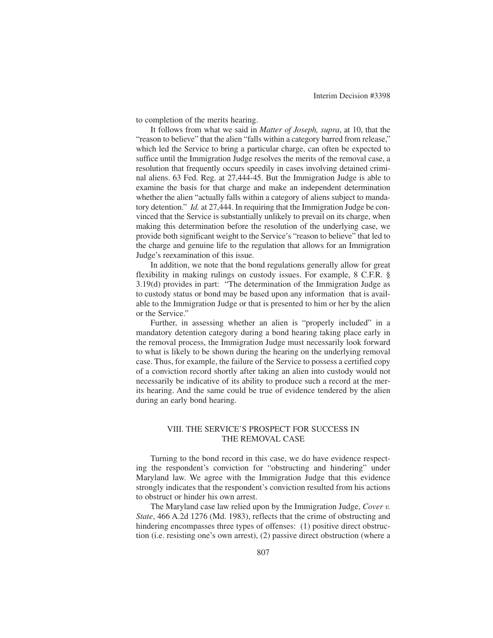to completion of the merits hearing.

It follows from what we said in *Matter of Joseph, supra*, at 10, that the "reason to believe" that the alien "falls within a category barred from release," which led the Service to bring a particular charge, can often be expected to suffice until the Immigration Judge resolves the merits of the removal case, a resolution that frequently occurs speedily in cases involving detained criminal aliens. 63 Fed. Reg. at 27,444-45. But the Immigration Judge is able to examine the basis for that charge and make an independent determination whether the alien "actually falls within a category of aliens subject to mandatory detention." *Id.* at 27,444. In requiring that the Immigration Judge be convinced that the Service is substantially unlikely to prevail on its charge, when making this determination before the resolution of the underlying case, we provide both significant weight to the Service's "reason to believe" that led to the charge and genuine life to the regulation that allows for an Immigration Judge's reexamination of this issue.

In addition, we note that the bond regulations generally allow for great flexibility in making rulings on custody issues. For example, 8 C.F.R. § 3.19(d) provides in part: "The determination of the Immigration Judge as to custody status or bond may be based upon any information that is available to the Immigration Judge or that is presented to him or her by the alien or the Service."

Further, in assessing whether an alien is "properly included" in a mandatory detention category during a bond hearing taking place early in the removal process, the Immigration Judge must necessarily look forward to what is likely to be shown during the hearing on the underlying removal case. Thus, for example, the failure of the Service to possess a certified copy of a conviction record shortly after taking an alien into custody would not necessarily be indicative of its ability to produce such a record at the merits hearing. And the same could be true of evidence tendered by the alien during an early bond hearing.

## VIII. THE SERVICE'S PROSPECT FOR SUCCESS IN THE REMOVAL CASE

Turning to the bond record in this case, we do have evidence respecting the respondent's conviction for "obstructing and hindering" under Maryland law. We agree with the Immigration Judge that this evidence strongly indicates that the respondent's conviction resulted from his actions to obstruct or hinder his own arrest.

The Maryland case law relied upon by the Immigration Judge, *Cover v. State*, 466 A.2d 1276 (Md. 1983), reflects that the crime of obstructing and hindering encompasses three types of offenses: (1) positive direct obstruction (i.e. resisting one's own arrest), (2) passive direct obstruction (where a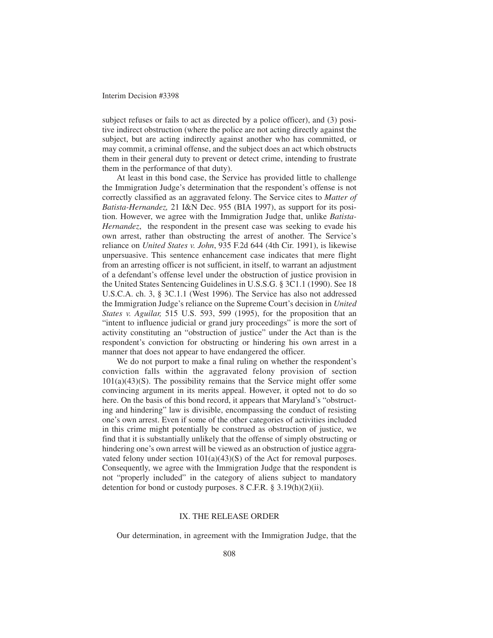subject refuses or fails to act as directed by a police officer), and (3) positive indirect obstruction (where the police are not acting directly against the subject, but are acting indirectly against another who has committed, or may commit, a criminal offense, and the subject does an act which obstructs them in their general duty to prevent or detect crime, intending to frustrate them in the performance of that duty).

At least in this bond case, the Service has provided little to challenge the Immigration Judge's determination that the respondent's offense is not correctly classified as an aggravated felony. The Service cites to *Matter of Batista-Hernandez,* 21 I&N Dec. 955 (BIA 1997), as support for its position. However, we agree with the Immigration Judge that, unlike *Batista-Hernandez*, the respondent in the present case was seeking to evade his own arrest, rather than obstructing the arrest of another. The Service's reliance on *United States v. John*, 935 F.2d 644 (4th Cir. 1991), is likewise unpersuasive. This sentence enhancement case indicates that mere flight from an arresting officer is not sufficient, in itself, to warrant an adjustment of a defendant's offense level under the obstruction of justice provision in the United States Sentencing Guidelines in U.S.S.G. § 3C1.1 (1990). See 18 U.S.C.A. ch. 3, § 3C.1.1 (West 1996). The Service has also not addressed the Immigration Judge's reliance on the Supreme Court's decision in *United States v. Aguilar,* 515 U.S. 593, 599 (1995), for the proposition that an "intent to influence judicial or grand jury proceedings" is more the sort of activity constituting an "obstruction of justice" under the Act than is the respondent's conviction for obstructing or hindering his own arrest in a manner that does not appear to have endangered the officer.

We do not purport to make a final ruling on whether the respondent's conviction falls within the aggravated felony provision of section  $101(a)(43)(S)$ . The possibility remains that the Service might offer some convincing argument in its merits appeal. However, it opted not to do so here. On the basis of this bond record, it appears that Maryland's "obstructing and hindering" law is divisible, encompassing the conduct of resisting one's own arrest. Even if some of the other categories of activities included in this crime might potentially be construed as obstruction of justice, we find that it is substantially unlikely that the offense of simply obstructing or hindering one's own arrest will be viewed as an obstruction of justice aggravated felony under section  $101(a)(43)(S)$  of the Act for removal purposes. Consequently, we agree with the Immigration Judge that the respondent is not "properly included" in the category of aliens subject to mandatory detention for bond or custody purposes. 8 C.F.R. § 3.19(h)(2)(ii).

### IX. THE RELEASE ORDER

Our determination, in agreement with the Immigration Judge, that the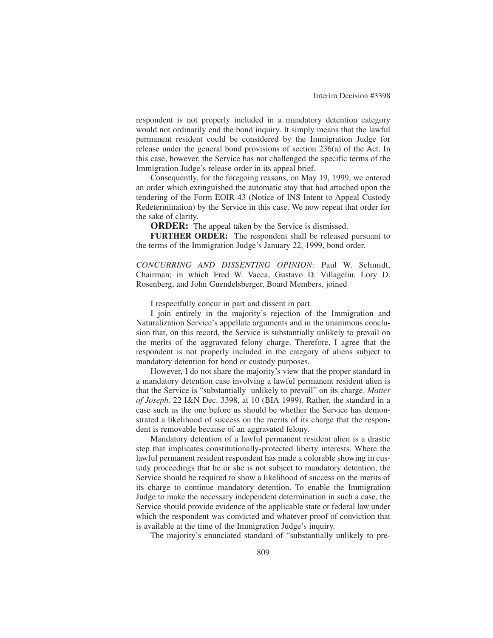respondent is not properly included in a mandatory detention category would not ordinarily end the bond inquiry. It simply means that the lawful permanent resident could be considered by the Immigration Judge for release under the general bond provisions of section 236(a) of the Act. In this case, however, the Service has not challenged the specific terms of the Immigration Judge's release order in its appeal brief.

Consequently, for the foregoing reasons, on May 19, 1999, we entered an order which extinguished the automatic stay that had attached upon the tendering of the Form EOIR-43 (Notice of INS Intent to Appeal Custody Redetermination) by the Service in this case. We now repeat that order for the sake of clarity.

**ORDER:** The appeal taken by the Service is dismissed.

**FURTHER ORDER:** The respondent shall be released pursuant to the terms of the Immigration Judge's January 22, 1999, bond order.

*CONCURRING AND DISSENTING OPINION:* Paul W. Schmidt, Chairman; in which Fred W. Vacca, Gustavo D. Villageliu, Lory D. Rosenberg, and John Guendelsberger, Board Members, joined

I respectfully concur in part and dissent in part.

I join entirely in the majority's rejection of the Immigration and Naturalization Service's appellate arguments and in the unanimous conclusion that, on this record, the Service is substantially unlikely to prevail on the merits of the aggravated felony charge. Therefore, I agree that the respondent is not properly included in the category of aliens subject to mandatory detention for bond or custody purposes.

However, I do not share the majority's view that the proper standard in a mandatory detention case involving a lawful permanent resident alien is that the Service is "substantially unlikely to prevail" on its charge. *Matter of Joseph,* 22 I&N Dec. 3398, at 10 (BIA 1999). Rather, the standard in a case such as the one before us should be whether the Service has demonstrated a likelihood of success on the merits of its charge that the respondent is removable because of an aggravated felony.

Mandatory detention of a lawful permanent resident alien is a drastic step that implicates constitutionally-protected liberty interests. Where the lawful permanent resident respondent has made a colorable showing in custody proceedings that he or she is not subject to mandatory detention, the Service should be required to show a likelihood of success on the merits of its charge to continue mandatory detention. To enable the Immigration Judge to make the necessary independent determination in such a case, the Service should provide evidence of the applicable state or federal law under which the respondent was convicted and whatever proof of conviction that is available at the time of the Immigration Judge's inquiry.

The majority's enunciated standard of "substantially unlikely to pre-